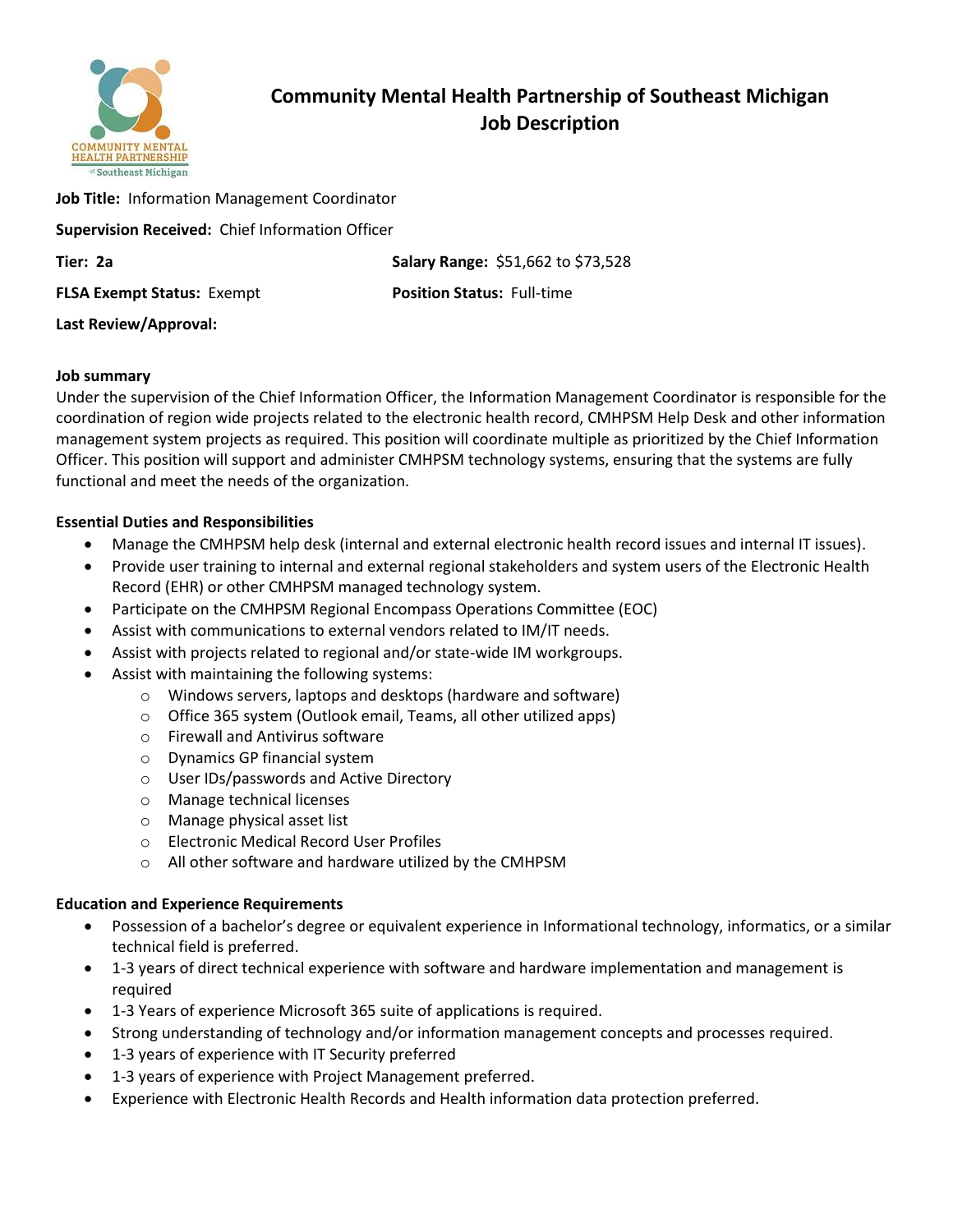

# **Community Mental Health Partnership of Southeast Michigan Job Description**

| <b>Job Title:</b> Information Management Coordinator |                                    |  |
|------------------------------------------------------|------------------------------------|--|
| Supervision Received: Chief Information Officer      |                                    |  |
| Tier: 2a                                             | Salary Range: \$51,662 to \$73,528 |  |
| <b>FLSA Exempt Status: Exempt</b>                    | <b>Position Status: Full-time</b>  |  |
| Last Review/Approval:                                |                                    |  |

### **Job summary**

Under the supervision of the Chief Information Officer, the Information Management Coordinator is responsible for the coordination of region wide projects related to the electronic health record, CMHPSM Help Desk and other information management system projects as required. This position will coordinate multiple as prioritized by the Chief Information Officer. This position will support and administer CMHPSM technology systems, ensuring that the systems are fully functional and meet the needs of the organization.

## **Essential Duties and Responsibilities**

- Manage the CMHPSM help desk (internal and external electronic health record issues and internal IT issues).
- Provide user training to internal and external regional stakeholders and system users of the Electronic Health Record (EHR) or other CMHPSM managed technology system.
- Participate on the CMHPSM Regional Encompass Operations Committee (EOC)
- Assist with communications to external vendors related to IM/IT needs.
- Assist with projects related to regional and/or state-wide IM workgroups.
- Assist with maintaining the following systems:
	- o Windows servers, laptops and desktops (hardware and software)
	- o Office 365 system (Outlook email, Teams, all other utilized apps)
	- o Firewall and Antivirus software
	- o Dynamics GP financial system
	- o User IDs/passwords and Active Directory
	- o Manage technical licenses
	- o Manage physical asset list
	- o Electronic Medical Record User Profiles
	- o All other software and hardware utilized by the CMHPSM

### **Education and Experience Requirements**

- Possession of a bachelor's degree or equivalent experience in Informational technology, informatics, or a similar technical field is preferred.
- 1-3 years of direct technical experience with software and hardware implementation and management is required
- 1-3 Years of experience Microsoft 365 suite of applications is required.
- Strong understanding of technology and/or information management concepts and processes required.
- 1-3 years of experience with IT Security preferred
- 1-3 years of experience with Project Management preferred.
- Experience with Electronic Health Records and Health information data protection preferred.